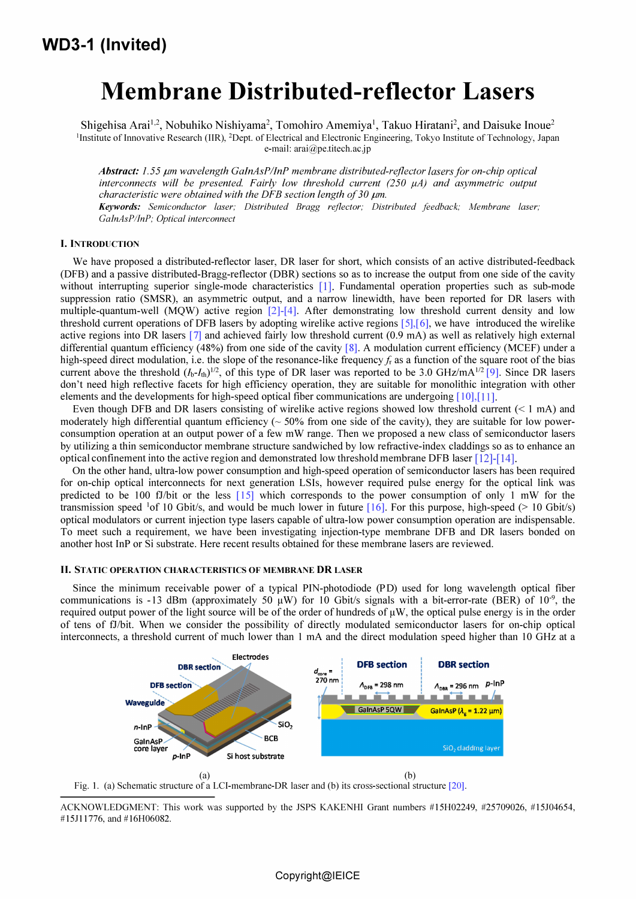# Membrane Distributed-reflector Lasers

Shigehisa Arai<sup>1,2</sup>, Nobuhiko Nishiyama<sup>2</sup>, Tomohiro Amemiya<sup>1</sup>, Takuo Hiratani<sup>2</sup>, and Daisuke Inoue<sup>2</sup> 'Institute of Innovative Research (UR), 2Dept. of Electrical and Electronic Engineering, Tokyo Institute of Technology, Japan e-mail: arai@pe.titech.ac.jp

Abstract: 1.55  $\mu$ m wavelength GaInAsP/InP membrane distributed-reflector lasers for on-chip optical interconnects will be presented. Fairly low threshold current  $(250 \mu A)$  and asymmetric output characteristic were obtained with the DFB section length of 30  $\mu$ m. Keywords: Semiconductor laser; Distributed Bragg reflector; Distributed feedback; Membrane laser; GalnAsPIlnP; Optical interconnect

#### I. INTRODUCTION

We have proposed a distributed-reflector laser, DR laser for short, which consists of an active distributed-feedback (DFB) and a passive distributed-Bragg-reflector (DBR) sections so as to increase the output from one side of the cavity without interrupting superior single-mode characteristics [1]. Fundamental operation properties such as sub-mode suppression ratio (SMSR), an asymmetric output, and a narrow linewidth, have been reported for DR lasers with multiple-quantum-well (MOW) active region [2]-[4]. After demonstrating low threshold current density and low threshold current operations of DFB lasers by adopting wirelike active regions  $[5],[6]$ , we have introduced the wirelike active regions into DR lasers [7] and achieved fairly low threshold current (0.9 mA) as well as relatively high external differential quantum efficiency (48%) from one side of the cavity  $[8]$ . A modulation current efficiency (MCEF) under a high-speed direct modulation, i.e. the slope of the resonance-like frequency  $f_r$  as a function of the square root of the bias current above the threshold  $(I_b-I_{th})^{1/2}$ , of this type of DR laser was reported to be 3.0 GHz/mA<sup>1/2</sup> [9]. Since DR lasers don't need high reflective facets for high efficiency operation, they are suitable for monolithic integration with other elements and the developments for high-speed optical fiber communications are undergoing [10],[11].

Even though DFB and DR lasers consisting of wirelike active regions showed low threshold current  $(< 1$  mA) and moderately high differential quantum efficiency ( $\sim$  50% from one side of the cavity), they are suitable for low powerconsumption operation at an output power of a few mW range. Then we proposed a new class of semiconductor lasers by utilizing a thin semiconductor membrane structure sandwiched by low refractive-index claddings so as to enhance an optical confinement into the active region and demonstrated low threshold membrane DFB laser [12]-[14].

On the other hand, ultra-low power consumption and high-speed operation of semiconductor lasers has been required for on-chip optical interconnects for next generation LSls, however required pulse energy for the optical link was predicted to be 100 fJ/bit or the less  $[15]$  which corresponds to the power consumption of only 1 mW for the transmission speed <sup>1</sup>of 10 Gbit/s, and would be much lower in future [16]. For this purpose, high-speed ( $> 10$  Gbit/s) optical modulators or current injection type lasers capable of ultra-low power consumption operation are indispensable. To meet such a requirement, we have been investigating injection-type membrane DFB and DR lasers bonded on another host InP or Si substrate. Here recent results obtained for these membrane lasers are reviewed.

## II. STATIC OPERATION CHARACTERISTICS OF MEMBRANE DR LASER

Since the minimum receivable power of a typical PIN-photodiode (PD) used for long wavelength optical fiber communications is -13 dBm (approximately 50  $\mu$ W) for 10 Gbit/s signals with a bit-error-rate (BER) of 10<sup>-9</sup>, the required output power of the light source will be of the order of hundreds of  $\mu$ W, the optical pulse energy is in the order of tens of fJ/bit. When we consider the possibility of directly modulated semiconductor lasers for on-chip optical interconnects, a threshold current of much lower than I rnA and the direct modulation speed higher than 10 GHz at a



(a)<br>Fig. 1. (a) Schematic structure of a LCI-membrane-DR laser and (b) its cross-sectional structure [20].

ACKNOWLEDGMENT: This work was supported by the JSPS KAKENHI Grant numbers #15H02249, #25709026, #15J04654, # l5JlI776, and # l6H06082.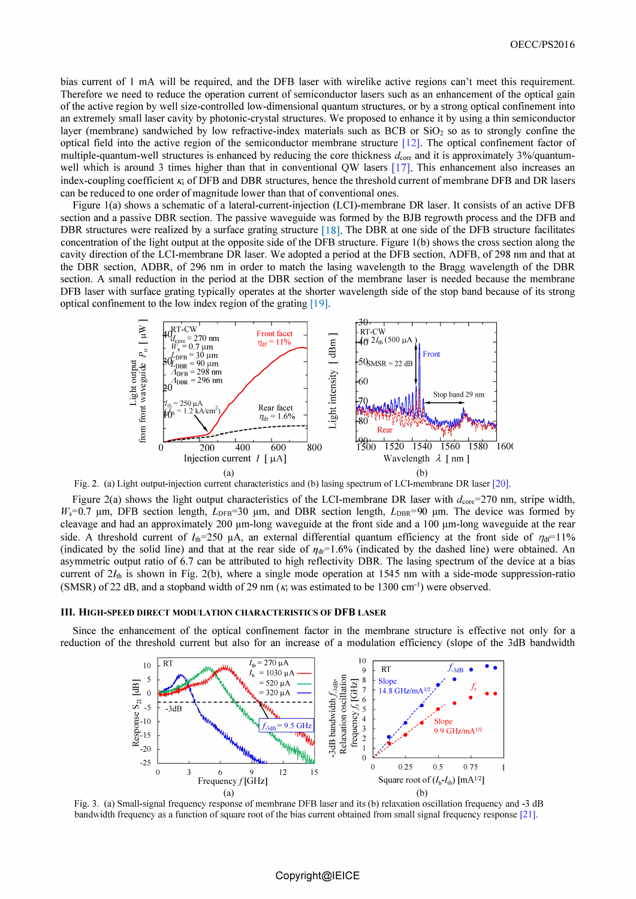bias current of 1 mA will be required, and the DFB laser with wirelike active regions can't meet this requirement. Therefore we need to reduce the operation current of semiconductor lasers such as an enhancement of the optical gain of the active region by well size-controlled low-dimensional quantum structures, or by a strong optical confinement into an extremely small laser cavity by photonic-crystal structures. We proposed to enhance it by using a thin semiconductor layer (membrane) sandwiched by low refractive-index materials such as BCB or Si02 so as to strongly confine the optical field into the active region of the semiconductor membrane structure [12]. The optical confmement factor of multiple-quantum-well structures is enhanced by reducing the core thickness  $d_{\text{core}}$  and it is approximately 3%/quantumwell which is around 3 times higher than that in conventional QW lasers [17]. This enhancement also increases an index-coupling coefficient  $K_i$  of DFB and DBR structures, hence the threshold current of membrane DFB and DR lasers can be reduced to one order of magnitude lower than that of conventional ones.

Figure 1(a) shows a schematic of a lateral-current-injection (LCI)-membrane DR laser. It consists of an active DFB section and a passive DBR section. The passive waveguide was formed by the BJB regrowth process and the DFB and DBR structures were realized by a surface grating structure  $[18]$ . The DBR at one side of the DFB structure facilitates concentration of the light output at the opposite side of the DFB structure. Figure 1(b) shows the cross section along the cavity direction of the LCI-membrane DR laser. We adopted a period at the DFB section, A DFB, of 298 nm and that at the DBR section, ADBR, of 296 nm in order to match the lasing wavelength to the Bragg wavelength of the DBR section. A small reduction in the period at the OBR section of the membrane laser is needed because the membrane OFB laser with surface grating typically operates at the shorter wavelength side of the stop band because of its strong optical confinement to the low index region of the grating [19].



Fig. 2. (a) Light output-injection current characteristics and (b) lasing spectrum of LCI-membrane DR laser [20].

Figure 2(a) shows the light output characteristics of the LCI-membrane DR laser with  $d_{\text{core}}=270$  nm, stripe width,  $W_s$ =0.7  $\mu$ m, DFB section length,  $L_{DFB}$ =30  $\mu$ m, and DBR section length,  $L_{DBR}$ =90  $\mu$ m. The device was formed by cleavage and had an approximately  $200 \mu m$ -long waveguide at the front side and a  $100 \mu m$ -long waveguide at the rear side. A threshold current of  $I_{th}=250 \mu A$ , an external differential quantum efficiency at the front side of  $\eta_{df}=11\%$ (indicated by the solid line) and that at the rear side of  $\eta_{dr}= 1.6\%$  (indicated by the dashed line) were obtained. An asymmetric output ratio of 6.7 can be attributed to high reflectivity DBR. The lasing spectrum of the device at a bias current of  $2I_{th}$  is shown in Fig. 2(b), where a single mode operation at 1545 nm with a side-mode suppression-ratio (SMSR) of 22 dB, and a stopband width of 29 nm ( $\kappa_i$  was estimated to be 1300 cm<sup>-1</sup>) were observed.

## III. HIGH-SPEED DIRECT MODULATION CHARACTERISTICS OF DFB LASER

Since the enhancement of the optical confinement factor in the membrane structure is effective not only for a reduction of the threshold current but also for an increase of a modulation efficiency (slope of the 3dB bandwidth



Fig. 3. (a) Small-signal frequency response of membrane DFB laser and its (b) relaxation oscillation frequency and -3 dB bandwidth frequency as a function of square root of the bias current obtained from small signal frequency response [21].

# Copyright@IEICE